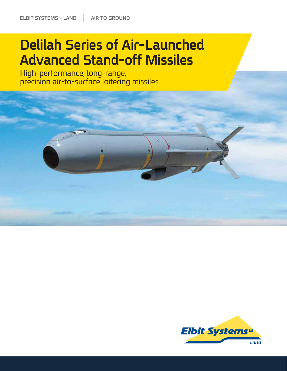## **Delilah Series of Air-Launched Advanced Stand-off Missiles**

High-performance, long-range, precision air-to-surface loitering missiles

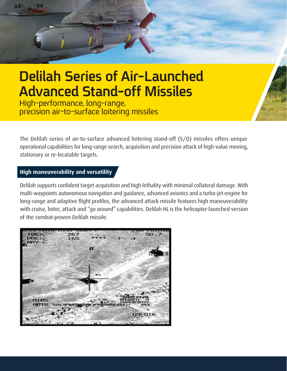## **Delilah Series of Air-Launched Advanced Stand-off Missiles**

High-performance, long-range, precision air-to-surface loitering missiles

The Delilah series of air-to-surface advanced loitering stand-off (S/O) missiles offers unique operational capabilities for long-range search, acquisition and precision attack of high-value moving, stationary or re-locatable targets.

#### **High maneuverability and versatility**

Delilah supports confident target acquisition and high lethality with minimal collateral damage. With multi-waypoints autonomous navigation and guidance, advanced avionics and a turbo-jet engine for long-range and adaptive flight profiles, the advanced attack missile features high maneuverability with cruise, loiter, attack and "go around" capabilities. Delilah HL is the helicopter-launched version of the combat-proven Delilah missile.

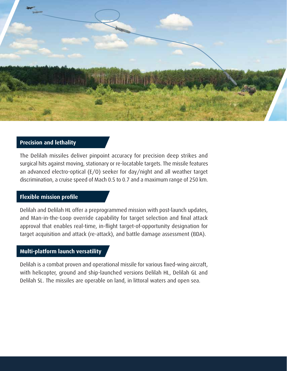

#### **Precision and lethality**

The Delilah missiles deliver pinpoint accuracy for precision deep strikes and surgical hits against moving, stationary or re-locatable targets. The missile features an advanced electro-optical (E/O) seeker for day/night and all weather target discrimination, a cruise speed of Mach 0.5 to 0.7 and a maximum range of 250 km.

#### **Flexible mission profile**

Delilah and Delilah HL offer a preprogrammed mission with post-launch updates, and Man-in-the-Loop override capability for target selection and final attack approval that enables real-time, in-flight target-of-opportunity designation for target acquisition and attack (re-attack), and battle damage assessment (BDA).

#### **Multi-platform launch versatility**

Delilah is a combat proven and operational missile for various fixed-wing aircraft, with helicopter, ground and ship-launched versions Delilah HL, Delilah GL and Delilah SL. The missiles are operable on land, in littoral waters and open sea.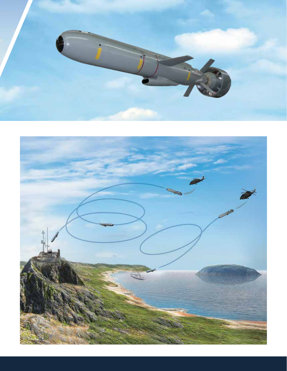

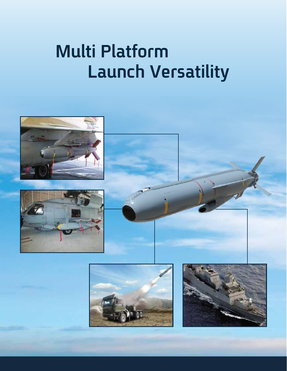# **Launch Versatility Multi Platform**